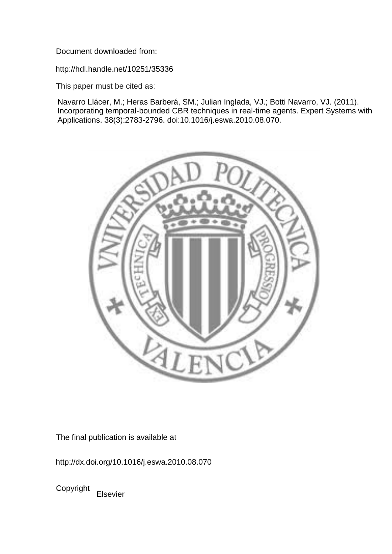Document downloaded from:

http://hdl.handle.net/10251/35336

This paper must be cited as:

Navarro Llácer, M.; Heras Barberá, SM.; Julian Inglada, VJ.; Botti Navarro, VJ. (2011). Incorporating temporal-bounded CBR techniques in real-time agents. Expert Systems with Applications. 38(3):2783-2796. doi:10.1016/j.eswa.2010.08.070.



The final publication is available at

http://dx.doi.org/10.1016/j.eswa.2010.08.070

Copyright

Elsevier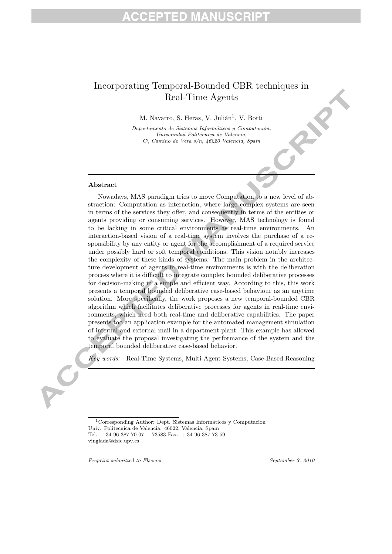#### Incorporating Temporal-Bounded CBR techniques in Real-Time Agents

M. Navarro, S. Heras, V. Julián<sup>1</sup>, V. Botti

Departamento de Sistemas Informáticos y Computación, Universidad Politécnica de Valencia,  $C\backslash$  Camino de Vera s/n, 46220 Valencia, Spain

#### Abstract

Nowadays, MAS paradigm tries to move Computation to a new level of abstraction: Computation as interaction, where large complex systems are seen in terms of the services they offer, and consequently in terms of the entities or agents providing or consuming services. However, MAS technology is found to be lacking in some critical environments as real-time environments. An interaction-based vision of a real-time system involves the purchase of a responsibility by any entity or agent for the accomplishment of a required service under possibly hard or soft temporal conditions. This vision notably increases the complexity of these kinds of systems. The main problem in the architecture development of agents in real-time environments is with the deliberation process where it is difficult to integrate complex bounded deliberative processes for decision-making in a simple and efficient way. According to this, this work presents a temporal bounded deliberative case-based behaviour as an anytime solution. More specifically, the work proposes a new temporal-bounded CBR algorithm which facilitates deliberative processes for agents in real-time environments, which need both real-time and deliberative capabilities. The paper presents too an application example for the automated management simulation of internal and external mail in a department plant. This example has allowed to evaluate the proposal investigating the performance of the system and the temporal bounded deliberative case-based behavior.

Key words: Real-Time Systems, Multi-Agent Systems, Case-Based Reasoning

<sup>1</sup>Corresponding Author: Dept. Sistemas Informaticos y Computacion Univ. Politecnica de Valencia. 46022, Valencia, Spain Tel. + 34 96 387 70 07 + 73583 Fax. + 34 96 387 73 59 vinglada@dsic.upv.es

Preprint submitted to Elsevier September 3, 2010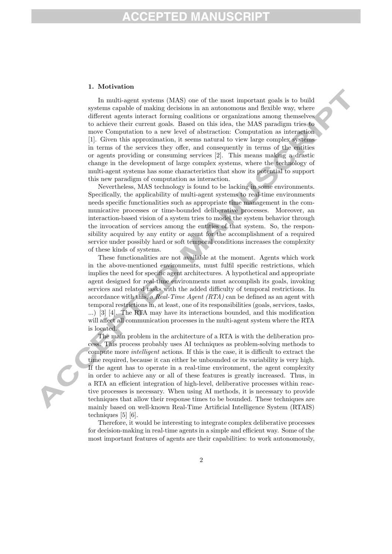#### 1. Motivation

In multi-agent systems (MAS) one of the most important goals is to build systems capable of making decisions in an autonomous and flexible way, where different agents interact forming coalitions or organizations among themselves to achieve their current goals. Based on this idea, the MAS paradigm tries to move Computation to a new level of abstraction: Computation as interaction [1]. Given this approximation, it seems natural to view large complex systems in terms of the services they offer, and consequently in terms of the entities or agents providing or consuming services [2]. This means making a drastic change in the development of large complex systems, where the technology of multi-agent systems has some characteristics that show its potential to support this new paradigm of computation as interaction.

Nevertheless, MAS technology is found to be lacking in some environments. Specifically, the applicability of multi-agent systems to real-time environments needs specific functionalities such as appropriate time management in the communicative processes or time-bounded deliberative processes. Moreover, an interaction-based vision of a system tries to model the system behavior through the invocation of services among the entities of that system. So, the responsibility acquired by any entity or agent for the accomplishment of a required service under possibly hard or soft temporal conditions increases the complexity of these kinds of systems.

These functionalities are not available at the moment. Agents which work in the above-mentioned environments, must fulfil specific restrictions, which implies the need for specific agent architectures. A hypothetical and appropriate agent designed for real-time environments must accomplish its goals, invoking services and related tasks with the added difficulty of temporal restrictions. In accordance with this, a Real-Time Agent  $(RTA)$  can be defined as an agent with temporal restrictions in, at least, one of its responsibilities (goals, services, tasks, ...) [3] [4]. The RTA may have its interactions bounded, and this modification will affect all communication processes in the multi-agent system where the RTA is located.

The main problem in the architecture of a RTA is with the deliberation process. This process probably uses AI techniques as problem-solving methods to compute more intelligent actions. If this is the case, it is difficult to extract the time required, because it can either be unbounded or its variability is very high. If the agent has to operate in a real-time environment, the agent complexity in order to achieve any or all of these features is greatly increased. Thus, in a RTA an efficient integration of high-level, deliberative processes within reactive processes is necessary. When using AI methods, it is necessary to provide techniques that allow their response times to be bounded. These techniques are mainly based on well-known Real-Time Artificial Intelligence System (RTAIS) techniques [5] [6].

Therefore, it would be interesting to integrate complex deliberative processes for decision-making in real-time agents in a simple and efficient way. Some of the most important features of agents are their capabilities: to work autonomously,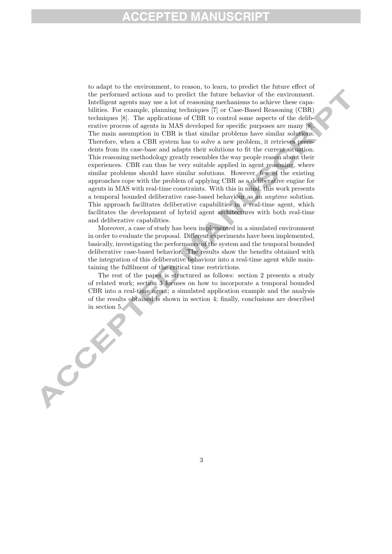to adapt to the environment, to reason, to learn, to predict the future effect of the performed actions and to predict the future behavior of the environment. Intelligent agents may use a lot of reasoning mechanisms to achieve these capabilities. For example, planning techniques [7] or Case-Based Reasoning (CBR) techniques [8]. The applications of CBR to control some aspects of the deliberative process of agents in MAS developed for specific purposes are many [8]. The main assumption in CBR is that similar problems have similar solutions. Therefore, when a CBR system has to solve a new problem, it retrieves precedents from its case-base and adapts their solutions to fit the current situation. This reasoning methodology greatly resembles the way people reason about their experiences. CBR can thus be very suitable applied in agent reasoning, where similar problems should have similar solutions. However, few of the existing approaches cope with the problem of applying CBR as a deliberative engine for agents in MAS with real-time constraints. With this in mind, this work presents a temporal bounded deliberative case-based behaviour as an anytime solution. This approach facilitates deliberative capabilities in a real-time agent, which facilitates the development of hybrid agent architectures with both real-time and deliberative capabilities.

Moreover, a case of study has been implemented in a simulated environment in order to evaluate the proposal. Different experiments have been implemented, basically, investigating the performance of the system and the temporal bounded deliberative case-based behavior. The results show the benefits obtained with the integration of this deliberative behaviour into a real-time agent while maintaining the fulfilment of the critical time restrictions.

The rest of the paper is structured as follows: section 2 presents a study of related work; section 3 focuses on how to incorporate a temporal bounded CBR into a real-time agent; a simulated application example and the analysis of the results obtained is shown in section 4; finally, conclusions are described in section 5.

Cole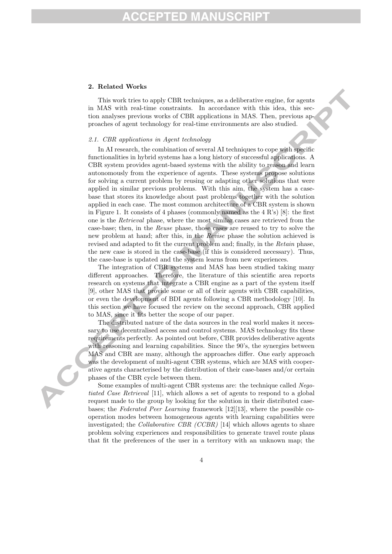# **CCEPTED MANUS**

#### 2. Related Works

This work tries to apply CBR techniques, as a deliberative engine, for agents in MAS with real-time constraints. In accordance with this idea, this section analyses previous works of CBR applications in MAS. Then, previous approaches of agent technology for real-time environments are also studied.

#### 2.1. CBR applications in Agent technology

In AI research, the combination of several AI techniques to cope with specific functionalities in hybrid systems has a long history of successful applications. A CBR system provides agent-based systems with the ability to reason and learn autonomously from the experience of agents. These systems propose solutions for solving a current problem by reusing or adapting other solutions that were applied in similar previous problems. With this aim, the system has a casebase that stores its knowledge about past problems together with the solution applied in each case. The most common architecture of a CBR system is shown in Figure 1. It consists of 4 phases (commonly named as the 4 R's) [8]: the first one is the Retrieval phase, where the most similar cases are retrieved from the case-base; then, in the Reuse phase, those cases are reused to try to solve the new problem at hand; after this, in the Revise phase the solution achieved is revised and adapted to fit the current problem and; finally, in the Retain phase, the new case is stored in the case-base (if this is considered necessary). Thus, the case-base is updated and the system learns from new experiences.

The integration of CBR systems and MAS has been studied taking many different approaches. Therefore, the literature of this scientific area reports research on systems that integrate a CBR engine as a part of the system itself [9], other MAS that provide some or all of their agents with CBR capabilities, or even the development of BDI agents following a CBR methodology [10]. In this section we have focused the review on the second approach, CBR applied to MAS, since it fits better the scope of our paper.

The distributed nature of the data sources in the real world makes it necessary to use decentralised access and control systems. MAS technology fits these requirements perfectly. As pointed out before, CBR provides deliberative agents with reasoning and learning capabilities. Since the 90's, the synergies between MAS and CBR are many, although the approaches differ. One early approach was the development of multi-agent CBR systems, which are MAS with cooperative agents characterised by the distribution of their case-bases and/or certain phases of the CBR cycle between them.

Some examples of multi-agent CBR systems are: the technique called Negotiated Case Retrieval [11], which allows a set of agents to respond to a global request made to the group by looking for the solution in their distributed casebases; the Federated Peer Learning framework [12][13], where the possible cooperation modes between homogeneous agents with learning capabilities were investigated; the Collaborative CBR (CCBR) [14] which allows agents to share problem solving experiences and responsibilities to generate travel route plans that fit the preferences of the user in a territory with an unknown map; the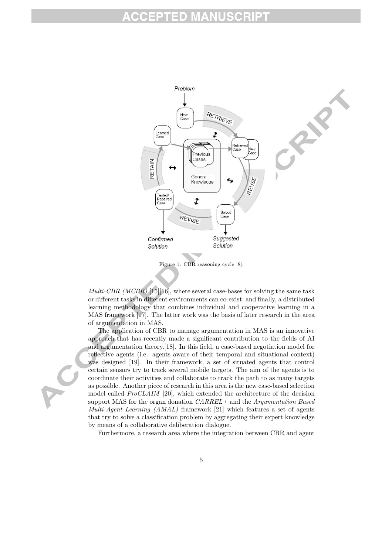

Figure 1: CBR reasoning cycle [8].

 $Multi-CBR (MCBR) [15][16]$ , where several case-bases for solving the same task or different tasks in different environments can co-exist; and finally, a distributed learning methodology that combines individual and cooperative learning in a MAS framework [17]. The latter work was the basis of later research in the area of argumentation in MAS.

The application of CBR to manage argumentation in MAS is an innovative approach that has recently made a significant contribution to the fields of AI and argumentation theory.[18]. In this field, a case-based negotiation model for reflective agents (i.e. agents aware of their temporal and situational context) was designed [19]. In their framework, a set of situated agents that control certain sensors try to track several mobile targets. The aim of the agents is to coordinate their activities and collaborate to track the path to as many targets as possible. Another piece of research in this area is the new case-based selection model called ProCLAIM [20], which extended the architecture of the decision support MAS for the organ donation  $CARREL+$  and the Argumentation Based Multi-Agent Learning (AMAL) framework [21] which features a set of agents that try to solve a classification problem by aggregating their expert knowledge by means of a collaborative deliberation dialogue.

Furthermore, a research area where the integration between CBR and agent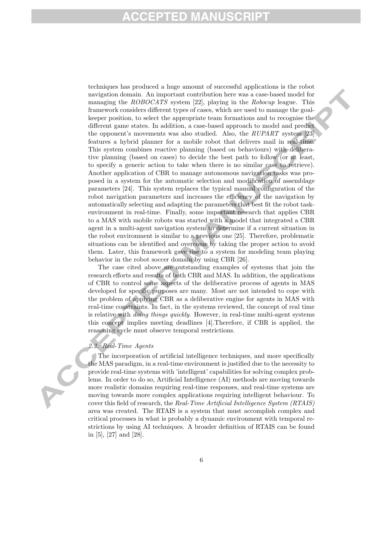techniques has produced a huge amount of successful applications is the robot navigation domain. An important contribution here was a case-based model for managing the ROBOCATS system [22], playing in the Robocup league. This framework considers different types of cases, which are used to manage the goalkeeper position, to select the appropriate team formations and to recognise the different game states. In addition, a case-based approach to model and predict the opponent's movements was also studied. Also, the RUPART system [23] features a hybrid planner for a mobile robot that delivers mail in real-time. This system combines reactive planning (based on behaviours) with deliberative planning (based on cases) to decide the best path to follow (or at least, to specify a generic action to take when there is no similar case to retrieve). Another application of CBR to manage autonomous navigation tasks was proposed in a system for the automatic selection and modification of assemblage parameters [24]. This system replaces the typical manual configuration of the robot navigation parameters and increases the efficiency of the navigation by automatically selecting and adapting the parameters that best fit the robot taskenvironment in real-time. Finally, some important research that applies CBR to a MAS with mobile robots was started with a model that integrated a CBR agent in a multi-agent navigation system to determine if a current situation in the robot environment is similar to a previous one [25]. Therefore, problematic situations can be identified and overcome by taking the proper action to avoid them. Later, this framework gave rise to a system for modeling team playing behavior in the robot soccer domain by using CBR [26].

The case cited above are outstanding examples of systems that join the research efforts and results of both CBR and MAS. In addition, the applications of CBR to control some aspects of the deliberative process of agents in MAS developed for specific purposes are many. Most are not intended to cope with the problem of applying CBR as a deliberative engine for agents in MAS with real-time constraints. In fact, in the systems reviewed, the concept of real time is relative with  $\overline{\text{doing things quickly}}$ . However, in real-time multi-agent systems this concept implies meeting deadlines [4].Therefore, if CBR is applied, the reasoning cycle must observe temporal restrictions.

#### 2.2. Real-Time Agents

The incorporation of artificial intelligence techniques, and more specifically the MAS paradigm, in a real-time environment is justified due to the necessity to provide real-time systems with 'intelligent' capabilities for solving complex problems. In order to do so, Artificial Intelligence (AI) methods are moving towards more realistic domains requiring real-time responses, and real-time systems are moving towards more complex applications requiring intelligent behaviour. To cover this field of research, the Real-Time Artificial Intelligence System (RTAIS) area was created. The RTAIS is a system that must accomplish complex and critical processes in what is probably a dynamic environment with temporal restrictions by using AI techniques. A broader definition of RTAIS can be found in [5], [27] and [28].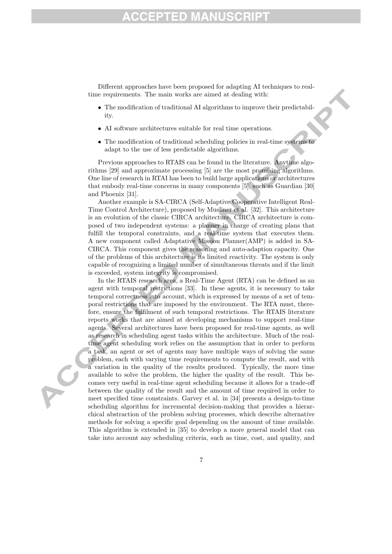# **CEPTED MANUS**

Different approaches have been proposed for adapting AI techniques to realtime requirements. The main works are aimed at dealing with:

- The modification of traditional AI algorithms to improve their predictability.
- AI software architectures suitable for real time operations.
- The modification of traditional scheduling policies in real-time systems to adapt to the use of less predictable algorithms.

Previous approaches to RTAIS can be found in the literature. Anytime algorithms [29] and approximate processing [5] are the most promising algorithms. One line of research in RTAI has been to build large applications or architectures that embody real-time concerns in many components [5], such as Guardian [30] and Phoenix [31].

Another example is SA-CIRCA (Self-Adaptive Cooperative Intelligent Real-Time Control Architecture), proposed by Musliner et al. [32]. This architecture is an evolution of the classic CIRCA architecture. CIRCA architecture is composed of two independent systems: a planner in charge of creating plans that fulfill the temporal constraints, and a real-time system that executes them. A new component called Adaptative Mission Planner(AMP) is added in SA-CIRCA. This component gives the reasoning and auto-adaption capacity. One of the problems of this architecture is its limited reactivity. The system is only capable of recognizing a limited number of simultaneous threats and if the limit is exceeded, system integrity is compromised.

In the RTAIS research area, a Real-Time Agent (RTA) can be defined as an agent with temporal restrictions [33]. In these agents, it is necessary to take temporal correctness into account, which is expressed by means of a set of temporal restrictions that are imposed by the environment. The RTA must, therefore, ensure the fulfilment of such temporal restrictions. The RTAIS literature reports works that are aimed at developing mechanisms to support real-time agents. Several architectures have been proposed for real-time agents, as well as research in scheduling agent tasks within the architecture. Much of the realtime agent scheduling work relies on the assumption that in order to perform a task, an agent or set of agents may have multiple ways of solving the same problem, each with varying time requirements to compute the result, and with a variation in the quality of the results produced. Typically, the more time available to solve the problem, the higher the quality of the result. This becomes very useful in real-time agent scheduling because it allows for a trade-off between the quality of the result and the amount of time required in order to meet specified time constraints. Garvey et al. in [34] presents a design-to-time scheduling algorithm for incremental decision-making that provides a hierarchical abstraction of the problem solving processes, which describe alternative methods for solving a specific goal depending on the amount of time available. This algorithm is extended in [35] to develop a more general model that can take into account any scheduling criteria, such as time, cost, and quality, and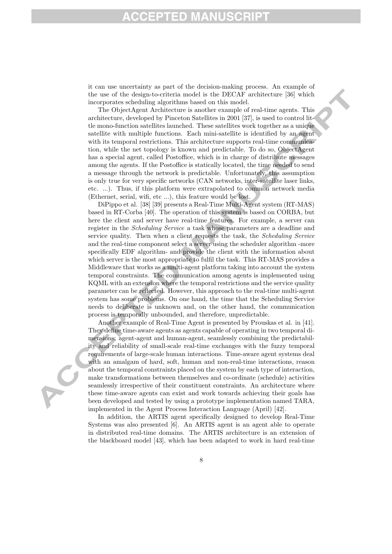it can use uncertainty as part of the decision-making process. An example of the use of the design-to-criteria model is the DECAF architecture [36] which incorporates scheduling algorithms based on this model.

The ObjectAgent Architecture is another example of real-time agents. This architecture, developed by Pinceton Satellites in 2001 [37], is used to control little mono-function satellites launched. These satellites work together as a unique satellite with multiple functions. Each mini-satellite is identified by an agent with its temporal restrictions. This architecture supports real-time communication, while the net topology is known and predictable. To do so, ObjectAgent has a special agent, called Postoffice, which is in charge of distribute messages among the agents. If the Postoffice is statically located, the time needed to send a message through the network is predictable. Unfortunately, this assumption is only true for very specific networks (CAN networks, inter-satellite laser links, etc. ...). Thus, if this platform were extrapolated to common network media (Ethernet, serial, wifi, etc ...), this feature would be lost.

DiPippo et al. [38] [39] presents a Real-Time Multi-Agent system (RT-MAS) based in RT-Corba [40]. The operation of this system is based on CORBA, but here the client and server have real-time features. For example, a server can register in the Scheduling Service a task whose parameters are a deadline and service quality. Then when a client requests the task, the Scheduling Service and the real-time component select a server using the scheduler algorithm -more specifically EDF algorithm- and provide the client with the information about which server is the most appropriate to fulfil the task. This RT-MAS provides a Middleware that works as a multi-agent platform taking into account the system temporal constraints. The communication among agents is implemented using KQML with an extension where the temporal restrictions and the service quality parameter can be reflected. However, this approach to the real-time multi-agent system has some problems. On one hand, the time that the Scheduling Service needs to deliberate is unknown and, on the other hand, the communication process is temporally unbounded, and therefore, unpredictable.

Another example of Real-Time Agent is presented by Prouskas et al. in [41]. They define time-aware agents as agents capable of operating in two temporal dimensions: agent-agent and human-agent, seamlessly combining the predictability and reliability of small-scale real-time exchanges with the fuzzy temporal requirements of large-scale human interactions. Time-aware agent systems deal with an amalgam of hard, soft, human and non-real-time interactions, reason about the temporal constraints placed on the system by each type of interaction, make transformations between themselves and co-ordinate (schedule) activities seamlessly irrespective of their constituent constraints. An architecture where these time-aware agents can exist and work towards achieving their goals has been developed and tested by using a prototype implementation named TARA, implemented in the Agent Process Interaction Language (April) [42].

In addition, the ARTIS agent specifically designed to develop Real-Time Systems was also presented [6]. An ARTIS agent is an agent able to operate in distributed real-time domains. The ARTIS architecture is an extension of the blackboard model [43], which has been adapted to work in hard real-time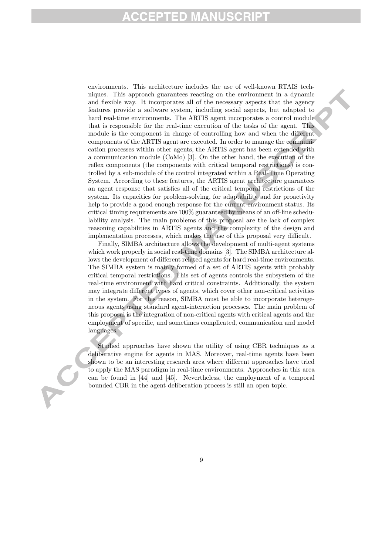environments. This architecture includes the use of well-known RTAIS techniques. This approach guarantees reacting on the environment in a dynamic and flexible way. It incorporates all of the necessary aspects that the agency features provide a software system, including social aspects, but adapted to hard real-time environments. The ARTIS agent incorporates a control module that is responsible for the real-time execution of the tasks of the agent. This module is the component in charge of controlling how and when the different components of the ARTIS agent are executed. In order to manage the communication processes within other agents, the ARTIS agent has been extended with a communication module (CoMo) [3]. On the other hand, the execution of the reflex components (the components with critical temporal restrictions) is controlled by a sub-module of the control integrated within a Real-Time Operating System. According to these features, the ARTIS agent architecture guarantees an agent response that satisfies all of the critical temporal restrictions of the system. Its capacities for problem-solving, for adaptability and for proactivity help to provide a good enough response for the current environment status. Its critical timing requirements are 100% guaranteed by means of an off-line schedulability analysis. The main problems of this proposal are the lack of complex reasoning capabilities in ARTIS agents and the complexity of the design and implementation processes, which makes the use of this proposal very difficult.

Finally, SIMBA architecture allows the development of multi-agent systems which work properly in social real-time domains [3]. The SIMBA architecture allows the development of different related agents for hard real-time environments. The SIMBA system is mainly formed of a set of ARTIS agents with probably critical temporal restrictions. This set of agents controls the subsystem of the real-time environment with hard critical constraints. Additionally, the system may integrate different types of agents, which cover other non-critical activities in the system. For this reason, SIMBA must be able to incorporate heterogeneous agents using standard agent-interaction processes. The main problem of this proposal is the integration of non-critical agents with critical agents and the employment of specific, and sometimes complicated, communication and model languages.

Studied approaches have shown the utility of using CBR techniques as a deliberative engine for agents in MAS. Moreover, real-time agents have been shown to be an interesting research area where different approaches have tried to apply the MAS paradigm in real-time environments. Approaches in this area can be found in [44] and [45]. Nevertheless, the employment of a temporal bounded CBR in the agent deliberation process is still an open topic.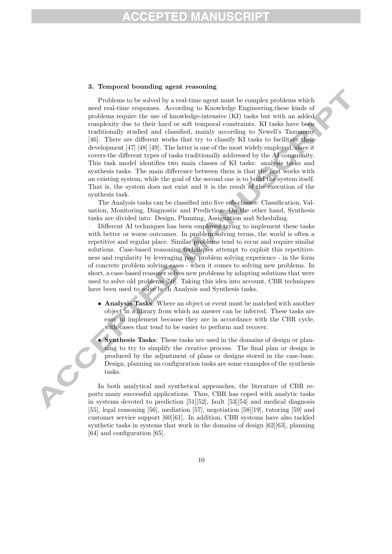#### 3. Temporal bounding agent reasoning

Problems to be solved by a real-time agent must be complex problems which need real-time responses. According to Knowledge Engineering,these kinds of problems require the use of knowledge-intensive (KI) tasks but with an added complexity due to their hard or soft temporal constraints. KI tasks have been traditionally studied and classified, mainly according to Newell's Taxonomy [46]. There are different works that try to classify KI tasks to facilitate their development [47] [48] [49]. The latter is one of the most widely employed, since it covers the different types of tasks traditionally addressed by the AI community. This task model identifies two main classes of KI tasks: analysis tasks and synthesis tasks. The main difference between them is that the first works with an existing system, while the goal of the second one is to build the system itself. That is, the system does not exist and it is the result of the execution of the synthesis task.

The Analysis tasks can be classified into five sub-classes: Classification, Valuation, Monitoring, Diagnostic and Prediction. On the other hand, Synthesis tasks are divided into: Design, Planning, Assignation and Scheduling.

Different AI techniques has been employed trying to implement these tasks with better or worse outcomes. In problem solving terms, the world is often a repetitive and regular place. Similar problems tend to recur and require similar solutions. Case-based reasoning techniques attempt to exploit this repetitiveness and regularity by leveraging past problem solving experience - in the form of concrete problem solving cases - when it comes to solving new problems. In short, a case-based reasoner solves new problems by adapting solutions that were used to solve old problems [50]. Taking this idea into account, CBR techniques have been used to solve both Analysis and Synthesis tasks.

- Analysis Tasks: Where an object or event must be matched with another object in a library from which an answer can be inferred. These tasks are easy to implement because they are in accordance with the CBR cycle, with cases that tend to be easier to perform and recover.
- Synthesis Tasks: These tasks are used in the domains of design or planning to try to simplify the creative process. The final plan or design is produced by the adjustment of plans or designs stored in the case-base. Design, planning an configuration tasks are some examples of the synthesis tasks.

In both analytical and synthetical approaches, the literature of CBR reports many successful applications. Thus, CBR has coped with analytic tasks in systems devoted to prediction [51][52], fault [53][54] and medical diagnosis [55], legal reasoning [56], mediation [57], negotiation [58][19], tutoring [59] and customer service support [60][61]. In addition, CBR systems have also tackled synthetic tasks in systems that work in the domains of design [62][63], planning [64] and configuration [65].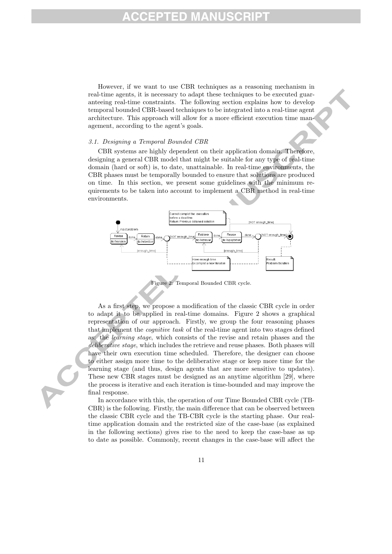However, if we want to use CBR techniques as a reasoning mechanism in real-time agents, it is necessary to adapt these techniques to be executed guaranteeing real-time constraints. The following section explains how to develop temporal bounded CBR-based techniques to be integrated into a real-time agent architecture. This approach will allow for a more efficient execution time management, according to the agent's goals.

#### 3.1. Designing a Temporal Bounded CBR

CBR systems are highly dependent on their application domain. Therefore, designing a general CBR model that might be suitable for any type of real-time domain (hard or soft) is, to date, unattainable. In real-time environments, the CBR phases must be temporally bounded to ensure that solutions are produced on time. In this section, we present some guidelines with the minimum requirements to be taken into account to implement a CBR method in real-time environments.



Figure 2: Temporal Bounded CBR cycle.

As a first step, we propose a modification of the classic CBR cycle in order to adapt it to be applied in real-time domains. Figure 2 shows a graphical representation of our approach. Firstly, we group the four reasoning phases that implement the cognitive task of the real-time agent into two stages defined as: the learning stage, which consists of the revise and retain phases and the deliberative stage, which includes the retrieve and reuse phases. Both phases will have their own execution time scheduled. Therefore, the designer can choose to either assign more time to the deliberative stage or keep more time for the learning stage (and thus, design agents that are more sensitive to updates). These new CBR stages must be designed as an anytime algorithm [29], where the process is iterative and each iteration is time-bounded and may improve the final response.

In accordance with this, the operation of our Time Bounded CBR cycle (TB-CBR) is the following. Firstly, the main difference that can be observed between the classic CBR cycle and the TB-CBR cycle is the starting phase. Our realtime application domain and the restricted size of the case-base (as explained in the following sections) gives rise to the need to keep the case-base as up to date as possible. Commonly, recent changes in the case-base will affect the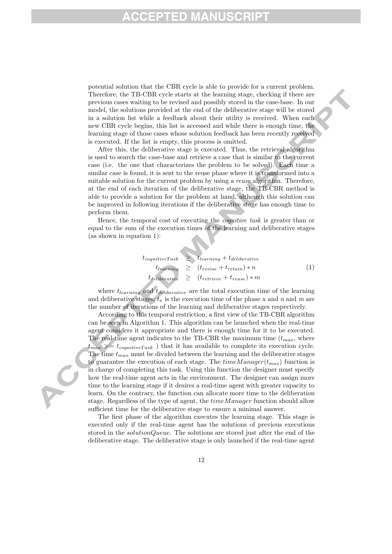potential solution that the CBR cycle is able to provide for a current problem. Therefore, the TB-CBR cycle starts at the learning stage, checking if there are previous cases waiting to be revised and possibly stored in the case-base. In our model, the solutions provided at the end of the deliberative stage will be stored in a solution list while a feedback about their utility is received. When each new CBR cycle begins, this list is accessed and while there is enough time, the learning stage of those cases whose solution feedback has been recently received is executed. If the list is empty, this process is omitted.

After this, the deliberative stage is executed. Thus, the retrieval algorithm is used to search the case-base and retrieve a case that is similar to the current case (i.e. the one that characterizes the problem to be solved). Each time a similar case is found, it is sent to the reuse phase where it is transformed into a suitable solution for the current problem by using a *reuse* algorithm. Therefore, at the end of each iteration of the deliberative stage, the TB-CBR method is able to provide a solution for the problem at hand, although this solution can be improved in following iterations if the deliberative stage has enough time to perform them.

Hence, the temporal cost of executing the *cognitive task* is greater than or equal to the sum of the execution times of the learning and deliberative stages (as shown in equation 1):

$$
t_{cognitiveTask} \geq t_{learning} + t_{deliberative}
$$
  
\n
$$
t_{learning} \geq (t_{rewise} + t_{retain}) * n
$$
  
\n
$$
t_{deliberative} \geq (t_{retrieve} + t_{reuse}) * m
$$
  
\n(1)

where  $t_{learning}$  and  $t_{deliberative}$  are the total execution time of the learning and deliberative stages;  $t_x$  is the execution time of the phase x and n and m are the number of iterations of the learning and deliberative stages respectively.

According to this temporal restriction, a first view of the TB-CBR algorithm can be seen in Algorithm 1. This algorithm can be launched when the real-time agent considers it appropriate and there is enough time for it to be executed. The real-time agent indicates to the TB-CBR the maximum time  $(t_{max},$  where  $t_{max} \geq t_{cognitiveTask}$ ) that it has available to complete its execution cycle. The time  $t_{max}$  must be divided between the learning and the deliberative stages to guarantee the execution of each stage. The  $timeManager(t_{max})$  function is in charge of completing this task. Using this function the designer must specify how the real-time agent acts in the environment. The designer can assign more time to the learning stage if it desires a real-time agent with greater capacity to learn. On the contrary, the function can allocate more time to the deliberation stage. Regardless of the type of agent, the  $timeManager$  function should allow sufficient time for the deliberative stage to ensure a minimal answer.

The first phase of the algorithm executes the learning stage. This stage is executed only if the real-time agent has the solutions of previous executions stored in the *solutionQueue*. The solutions are stored just after the end of the deliberative stage. The deliberative stage is only launched if the real-time agent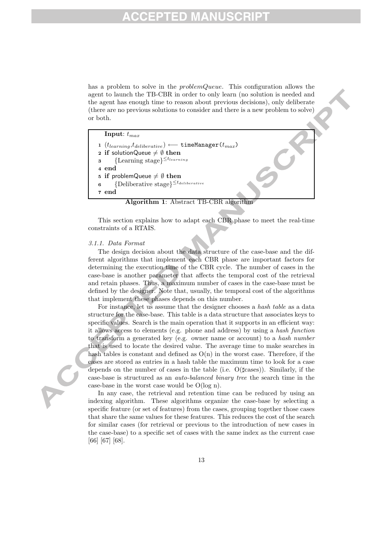has a problem to solve in the *problemQueue*. This configuration allows the agent to launch the TB-CBR in order to only learn (no solution is needed and the agent has enough time to reason about previous decisions), only deliberate (there are no previous solutions to consider and there is a new problem to solve) or both.

#### Input:  $t_{max}$

1  $(t_{learning}, t_{deliberative}) \longleftarrow$  timeManager( $t_{max}$ ) 2 if solutionQueue  $\neq \emptyset$  then **3** {Learning stage}<sup> $\leq t_{learning}$ </sup> 4 end 5 if problemQueue  $\neq \emptyset$  then 6 {Deliberative stage}<sup> $\leq t_{deliberative}$ </sup> 7 end

Algorithm 1: Abstract TB-CBR algorithm

This section explains how to adapt each CBR phase to meet the real-time constraints of a RTAIS.

#### 3.1.1. Data Format

The design decision about the data structure of the case-base and the different algorithms that implement each CBR phase are important factors for determining the execution time of the CBR cycle. The number of cases in the case-base is another parameter that affects the temporal cost of the retrieval and retain phases. Thus, a maximum number of cases in the case-base must be defined by the designer. Note that, usually, the temporal cost of the algorithms that implement these phases depends on this number.

For instance, let us assume that the designer chooses a hash table as a data structure for the case-base. This table is a data structure that associates keys to specific values. Search is the main operation that it supports in an efficient way: it allows access to elements (e.g. phone and address) by using a hash function to transform a generated key (e.g. owner name or account) to a hash number that is used to locate the desired value. The average time to make searches in hash tables is constant and defined as  $O(n)$  in the worst case. Therefore, if the cases are stored as entries in a hash table the maximum time to look for a case depends on the number of cases in the table (i.e. O(♯cases)). Similarly, if the case-base is structured as an auto-balanced binary tree the search time in the case-base in the worst case would be O(log n).

In any case, the retrieval and retention time can be reduced by using an indexing algorithm. These algorithms organize the case-base by selecting a specific feature (or set of features) from the cases, grouping together those cases that share the same values for these features. This reduces the cost of the search for similar cases (for retrieval or previous to the introduction of new cases in the case-base) to a specific set of cases with the same index as the current case [66] [67] [68].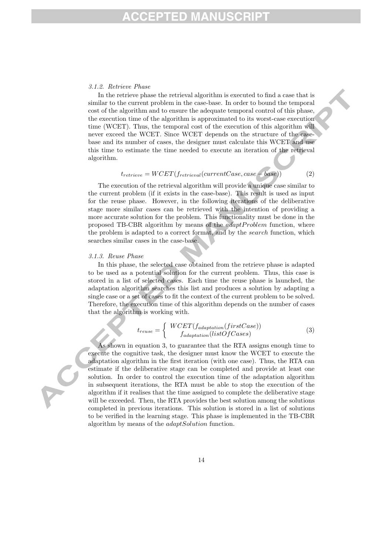#### 3.1.2. Retrieve Phase

In the retrieve phase the retrieval algorithm is executed to find a case that is similar to the current problem in the case-base. In order to bound the temporal cost of the algorithm and to ensure the adequate temporal control of this phase, the execution time of the algorithm is approximated to its worst-case execution time (WCET). Thus, the temporal cost of the execution of this algorithm will never exceed the WCET. Since WCET depends on the structure of the casebase and its number of cases, the designer must calculate this WCET and use this time to estimate the time needed to execute an iteration of the retrieval algorithm.

#### $t_{retrieve} = WGET(f_{retrieval}(currentCase, case - base))$  (2)

The execution of the retrieval algorithm will provide a unique case similar to the current problem (if it exists in the case-base). This result is used as input for the reuse phase. However, in the following iterations of the deliberative stage more similar cases can be retrieved with the intention of providing a more accurate solution for the problem. This functionality must be done in the proposed TB-CBR algorithm by means of the *adaptProblem* function, where the problem is adapted to a correct format, and by the search function, which searches similar cases in the case-base.

#### 3.1.3. Reuse Phase

In this phase, the selected case obtained from the retrieve phase is adapted to be used as a potential solution for the current problem. Thus, this case is stored in a list of selected cases. Each time the reuse phase is launched, the adaptation algorithm searches this list and produces a solution by adapting a single case or a set of cases to fit the context of the current problem to be solved. Therefore, the execution time of this algorithm depends on the number of cases that the algorithm is working with.

$$
t_{reuse} = \begin{cases} \ WCEPT(f_{adaptation}(firstCase)) \\ \qquad f_{adaptation}(listOfCases) \end{cases} \tag{3}
$$

As shown in equation 3, to guarantee that the RTA assigns enough time to execute the cognitive task, the designer must know the WCET to execute the adaptation algorithm in the first iteration (with one case). Thus, the RTA can estimate if the deliberative stage can be completed and provide at least one solution. In order to control the execution time of the adaptation algorithm in subsequent iterations, the RTA must be able to stop the execution of the algorithm if it realises that the time assigned to complete the deliberative stage will be exceeded. Then, the RTA provides the best solution among the solutions completed in previous iterations. This solution is stored in a list of solutions to be verified in the learning stage. This phase is implemented in the TB-CBR algorithm by means of the adaptSolution function.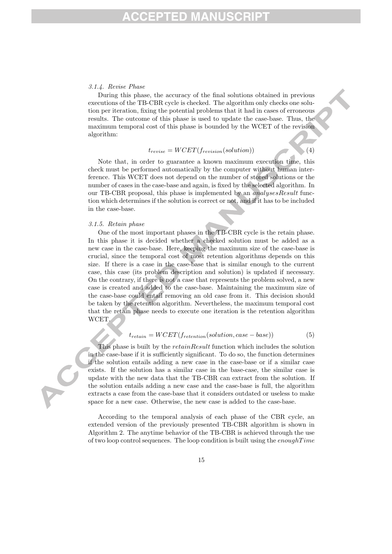# EPTED MANUS

#### 3.1.4. Revise Phase

During this phase, the accuracy of the final solutions obtained in previous executions of the TB-CBR cycle is checked. The algorithm only checks one solution per iteration, fixing the potential problems that it had in cases of erroneous results. The outcome of this phase is used to update the case-base. Thus, the maximum temporal cost of this phase is bounded by the WCET of the revision algorithm:

#### $t_{revise} = WCEPT(f_{revision}(solution))$  (4)

Note that, in order to guarantee a known maximum execution time, this check must be performed automatically by the computer without human interference. This WCET does not depend on the number of stored solutions or the number of cases in the case-base and again, is fixed by the selected algorithm. In our TB-CBR proposal, this phase is implemented by an *analysesResult* function which determines if the solution is correct or not, and if it has to be included in the case-base.

#### 3.1.5. Retain phase

One of the most important phases in the TB-CBR cycle is the retain phase. In this phase it is decided whether a checked solution must be added as a new case in the case-base. Here, keeping the maximum size of the case-base is crucial, since the temporal cost of most retention algorithms depends on this size. If there is a case in the case-base that is similar enough to the current case, this case (its problem description and solution) is updated if necessary. On the contrary, if there is not a case that represents the problem solved, a new case is created and added to the case-base. Maintaining the maximum size of the case-base could entail removing an old case from it. This decision should be taken by the retention algorithm. Nevertheless, the maximum temporal cost that the retain phase needs to execute one iteration is the retention algorithm WCET.

$$
t_{retain} = WGET(f_{retention}(solution, case - base))
$$
\n<sup>(5)</sup>

This phase is built by the retainResult function which includes the solution in the case-base if it is sufficiently significant. To do so, the function determines if the solution entails adding a new case in the case-base or if a similar case exists. If the solution has a similar case in the base-case, the similar case is update with the new data that the TB-CBR can extract from the solution. If the solution entails adding a new case and the case-base is full, the algorithm extracts a case from the case-base that it considers outdated or useless to make space for a new case. Otherwise, the new case is added to the case-base.

According to the temporal analysis of each phase of the CBR cycle, an extended version of the previously presented TB-CBR algorithm is shown in Algorithm 2. The anytime behavior of the TB-CBR is achieved through the use of two loop control sequences. The loop condition is built using the enough  $Time$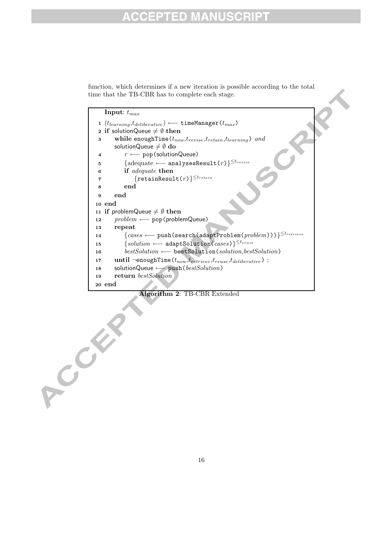function, which determines if a new iteration is possible according to the total time that the TB-CBR has to complete each stage.



Com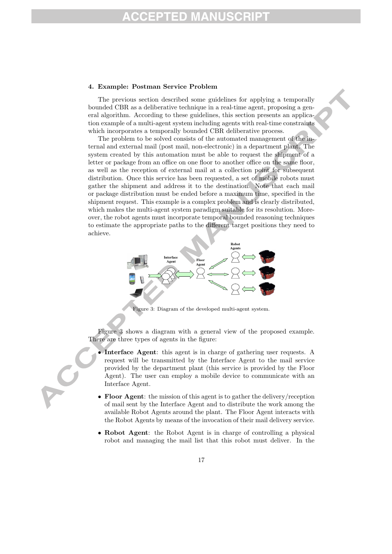# EPTED MANL

#### 4. Example: Postman Service Problem

The previous section described some guidelines for applying a temporally bounded CBR as a deliberative technique in a real-time agent, proposing a general algorithm. According to these guidelines, this section presents an application example of a multi-agent system including agents with real-time constraints which incorporates a temporally bounded CBR deliberative process.

The problem to be solved consists of the automated management of the internal and external mail (post mail, non-electronic) in a department plant. The system created by this automation must be able to request the shipment of a letter or package from an office on one floor to another office on the same floor, as well as the reception of external mail at a collection point for subsequent distribution. Once this service has been requested, a set of mobile robots must gather the shipment and address it to the destination. Note that each mail or package distribution must be ended before a maximum time, specified in the shipment request. This example is a complex problem and is clearly distributed, which makes the multi-agent system paradigm suitable for its resolution. Moreover, the robot agents must incorporate temporal bounded reasoning techniques to estimate the appropriate paths to the different target positions they need to achieve.



Figure 3: Diagram of the developed multi-agent system.

Figure 3 shows a diagram with a general view of the proposed example. There are three types of agents in the figure:

- Interface Agent: this agent is in charge of gathering user requests. A request will be transmitted by the Interface Agent to the mail service provided by the department plant (this service is provided by the Floor Agent). The user can employ a mobile device to communicate with an Interface Agent.
- Floor Agent: the mission of this agent is to gather the delivery/reception of mail sent by the Interface Agent and to distribute the work among the available Robot Agents around the plant. The Floor Agent interacts with the Robot Agents by means of the invocation of their mail delivery service.
- Robot Agent: the Robot Agent is in charge of controlling a physical robot and managing the mail list that this robot must deliver. In the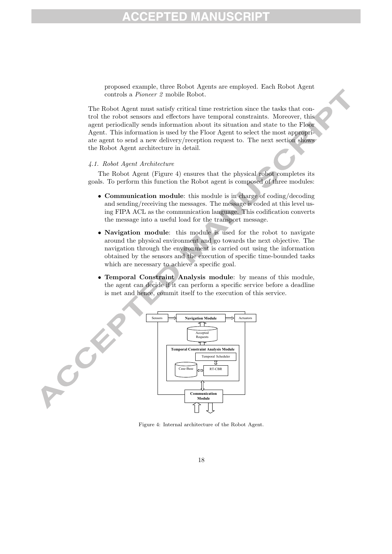proposed example, three Robot Agents are employed. Each Robot Agent controls a Pioneer 2 mobile Robot.

The Robot Agent must satisfy critical time restriction since the tasks that control the robot sensors and effectors have temporal constraints. Moreover, this agent periodically sends information about its situation and state to the Floor Agent. This information is used by the Floor Agent to select the most appropriate agent to send a new delivery/reception request to. The next section shows the Robot Agent architecture in detail.

#### 4.1. Robot Agent Architecture

The Robot Agent (Figure 4) ensures that the physical robot completes its goals. To perform this function the Robot agent is composed of three modules:

- Communication module: this module is in charge of coding/decoding and sending/receiving the messages. The message is coded at this level using FIPA ACL as the communication language. This codification converts the message into a useful load for the transport message.
- Navigation module: this module is used for the robot to navigate around the physical environment and go towards the next objective. The navigation through the environment is carried out using the information obtained by the sensors and the execution of specific time-bounded tasks which are necessary to achieve a specific goal.
- Temporal Constraint Analysis module: by means of this module, the agent can decide if it can perform a specific service before a deadline is met and hence, commit itself to the execution of this service.



Figure 4: Internal architecture of the Robot Agent.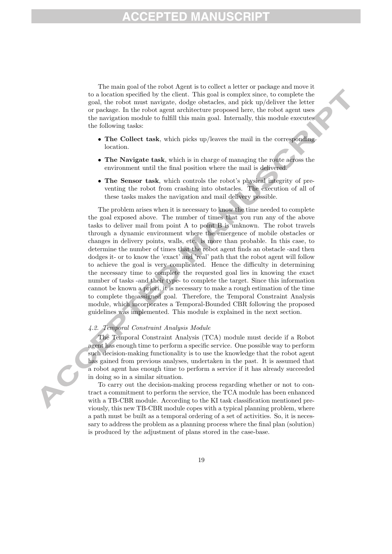# **CCEPTED MANUS**

The main goal of the robot Agent is to collect a letter or package and move it to a location specified by the client. This goal is complex since, to complete the goal, the robot must navigate, dodge obstacles, and pick up/deliver the letter or package. In the robot agent architecture proposed here, the robot agent uses the navigation module to fulfill this main goal. Internally, this module executes the following tasks:

- The Collect task, which picks up/leaves the mail in the corresponding location.
- The Navigate task, which is in charge of managing the route across the environment until the final position where the mail is delivered.
- The Sensor task, which controls the robot's physical integrity of preventing the robot from crashing into obstacles. The execution of all of these tasks makes the navigation and mail delivery possible.

The problem arises when it is necessary to know the time needed to complete the goal exposed above. The number of times that you run any of the above tasks to deliver mail from point A to point B is unknown. The robot travels through a dynamic environment where the emergence of mobile obstacles or changes in delivery points, walls, etc. is more than probable. In this case, to determine the number of times that the robot agent finds an obstacle -and then dodges it- or to know the 'exact' and 'real' path that the robot agent will follow to achieve the goal is very complicated. Hence the difficulty in determining the necessary time to complete the requested goal lies in knowing the exact number of tasks -and their type- to complete the target. Since this information cannot be known a priori, it is necessary to make a rough estimation of the time to complete the assigned goal. Therefore, the Temporal Constraint Analysis module, which incorporates a Temporal-Bounded CBR following the proposed guidelines was implemented. This module is explained in the next section.

#### 4.2. Temporal Constraint Analysis Module

The Temporal Constraint Analysis (TCA) module must decide if a Robot agent has enough time to perform a specific service. One possible way to perform such decision-making functionality is to use the knowledge that the robot agent has gained from previous analyses, undertaken in the past. It is assumed that a robot agent has enough time to perform a service if it has already succeeded in doing so in a similar situation.

To carry out the decision-making process regarding whether or not to contract a commitment to perform the service, the TCA module has been enhanced with a TB-CBR module. According to the KI task classification mentioned previously, this new TB-CBR module copes with a typical planning problem, where a path must be built as a temporal ordering of a set of activities. So, it is necessary to address the problem as a planning process where the final plan (solution) is produced by the adjustment of plans stored in the case-base.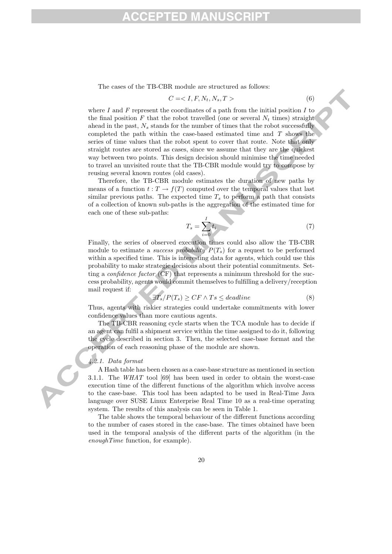#### EPTED MANUS

The cases of the TB-CBR module are structured as follows:

$$
C = \langle I, F, N_t, N_s, T \rangle \tag{6}
$$

where  $I$  and  $F$  represent the coordinates of a path from the initial position  $I$  to the final position F that the robot travelled (one or several  $N_t$  times) straight ahead in the past,  $N_s$  stands for the number of times that the robot successfully completed the path within the case-based estimated time and T shows the series of time values that the robot spent to cover that route. Note that only straight routes are stored as cases, since we assume that they are the quickest way between two points. This design decision should minimise the time needed to travel an unvisited route that the TB-CBR module would try to compose by reusing several known routes (old cases).

Therefore, the TB-CBR module estimates the duration of new paths by means of a function  $t : T \to f(T)$  computed over the temporal values that last similar previous paths. The expected time  $T_s$  to perform a path that consists of a collection of known sub-paths is the aggregation of the estimated time for each one of these sub-paths:

$$
T_s = \sum_{i=0}^{I} t_i \tag{7}
$$

Finally, the series of observed execution times could also allow the TB-CBR module to estimate a *success probability*  $P(T_s)$  for a request to be performed within a specified time. This is interesting data for agents, which could use this probability to make strategic decisions about their potential commitments. Setting a *confidence factor*  $(CF)$  that represents a minimum threshold for the success probability, agents would commit themselves to fulfilling a delivery/reception mail request if:

$$
\exists T_s/P(T_s) \ge CF \land Ts \le deadline \tag{8}
$$

Thus, agents with riskier strategies could undertake commitments with lower confidence values than more cautious agents.

The TB-CBR reasoning cycle starts when the TCA module has to decide if an agent can fulfil a shipment service within the time assigned to do it, following the cycle described in section 3. Then, the selected case-base format and the operation of each reasoning phase of the module are shown.

#### 4.2.1. Data format

A Hash table has been chosen as a case-base structure as mentioned in section 3.1.1. The WHAT tool [69] has been used in order to obtain the worst-case execution time of the different functions of the algorithm which involve access to the case-base. This tool has been adapted to be used in Real-Time Java language over SUSE Linux Enterprise Real Time 10 as a real-time operating system. The results of this analysis can be seen in Table 1.

The table shows the temporal behaviour of the different functions according to the number of cases stored in the case-base. The times obtained have been used in the temporal analysis of the different parts of the algorithm (in the enoughTime function, for example).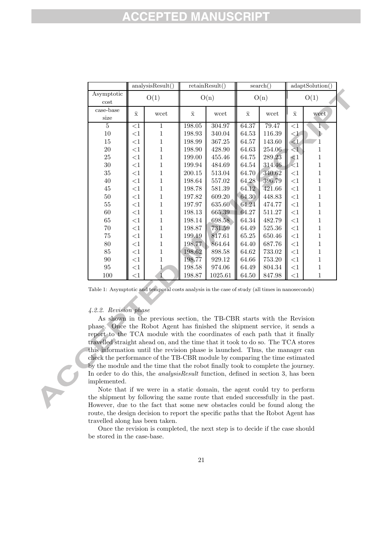|                    |                    | analysisResult() |           | retainResult() |                    | search()   |           | adaptSolution() |  |
|--------------------|--------------------|------------------|-----------|----------------|--------------------|------------|-----------|-----------------|--|
| Asymptotic<br>cost | O(1)               |                  | O(n)      |                | O(n)               |            | O(1)      |                 |  |
| case-base<br>size  | $\bar{\textbf{x}}$ | wcet             | $\bar{x}$ | wcet           | $\bar{\textbf{x}}$ | wcet       | $\bar{x}$ | wcet            |  |
| $\overline{5}$     | <1                 | 1                | 198.05    | 304.97         | 64.37              | 79.47      | ${<}1$    | $\mathbf{1}$    |  |
| 10                 | $\leq$ 1           | $\mathbf 1$      | 198.93    | 340.04         | 64.53              | 116.39     | $\leq$ 1  | $\mathbf 1$     |  |
| $15\,$             | $\leq$ 1           | $\mathbf{1}$     | 198.99    | 367.25         | 64.57              | 143.60     | $<\!1$    | 1               |  |
| $20\,$             | $\leq$ 1           | $\mathbf{1}$     | 198.90    | 428.90         | 64.63              | 254.06     | <1        | $\mathbf 1$     |  |
| 25                 | $\leq$ 1           | 1                | 199.00    | 455.46         | 64.75              | 289.23     | $\leq 1$  | 1               |  |
| 30                 | $\leq$ 1           | 1                | 199.94    | 484.69         | 64.54              | 314.46     | $\leq$ 1  | 1               |  |
| 35                 | $\leq$ 1           | 1                | 200.15    | 513.04         | 64.70              | 340.62     | $\leq$ 1  | 1               |  |
| 40                 | $\leq$ 1           | 1                | 198.64    | 557.02         | 64.28              | 396.79     | ${<}1$    | 1               |  |
| $45\,$             | $\leq$ 1           | $\mathbf 1$      | 198.78    | 581.39         | 64.12              | 421.66     | ${<}1$    | 1               |  |
| $50\,$             | $\leq$ 1           | 1                | 197.82    | 609.20         | 64.30              | 448.83     | ${<}1$    | 1               |  |
| $55\,$             | $<$ 1              | 1                | 197.97    | 635.60         | 64.24              | 474.77     | ${<}1$    | 1               |  |
| 60                 | $\leq$ 1           | $\mathbf 1$      | 198.13    | 665.39         | 64.27              | 511.27     | ${<}1$    | 1               |  |
| 65                 | $\leq$ 1           | $\mathbf{1}$     | 198.14    | 698.58         | 64.34              | 482.79     | ${<}1\,$  | 1               |  |
| $70\,$             | $\leq$ 1           | $\mathbf 1$      | 198.87    | 731.59         | 64.49              | 525.36     | ${<}1\,$  | $\mathbf 1$     |  |
| $75\,$             | $\leq$ 1           | $\mathbf{1}$     | 199.19    | 817.61         | 65.25              | 650.46     | ${<}1$    | $\mathbf{1}$    |  |
| $80\,$             | $\leq$ 1           | 1                | 198.77    | 864.64         | 64.40              | 687.76     | ${<}1$    | 1               |  |
| 85                 | $\leq$ 1           | 1                | 198.62    | 898.58         | 64.62              | 733.02     | <1        | 1               |  |
| 90                 | $\leq$ 1           | 1                | 198.77    | 929.12         | 64.66              | $753.20\,$ | ${<}1$    | 1               |  |
| 95                 | $<$ 1              | 1                | 198.58    | 974.06         | 64.49              | 804.34     | $<$ 1     | 1               |  |
| 100                | $\leq$ 1           | $\mathbf{I}$     | 198.87    | 1025.61        | 64.50              | 847.98     | $<$ 1     | 1               |  |

Table 1: Asymptotic and temporal costs analysis in the case of study (all times in nanoseconds)

#### 4.2.2. Revision phase

As shown in the previous section, the TB-CBR starts with the Revision phase. Once the Robot Agent has finished the shipment service, it sends a report to the TCA module with the coordinates of each path that it finally travelled straight ahead on, and the time that it took to do so. The TCA stores this information until the revision phase is launched. Thus, the manager can check the performance of the TB-CBR module by comparing the time estimated by the module and the time that the robot finally took to complete the journey. In order to do this, the *analysisResult* function, defined in section 3, has been implemented.

Note that if we were in a static domain, the agent could try to perform the shipment by following the same route that ended successfully in the past. However, due to the fact that some new obstacles could be found along the route, the design decision to report the specific paths that the Robot Agent has travelled along has been taken.

Once the revision is completed, the next step is to decide if the case should be stored in the case-base.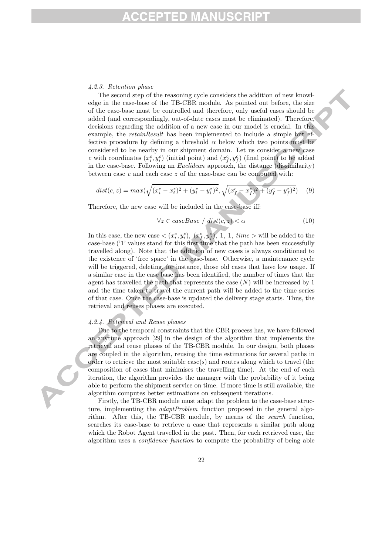# EPTED MANUS

#### 4.2.3. Retention phase

The second step of the reasoning cycle considers the addition of new knowledge in the case-base of the TB-CBR module. As pointed out before, the size of the case-base must be controlled and therefore, only useful cases should be added (and correspondingly, out-of-date cases must be eliminated). Therefore, decisions regarding the addition of a new case in our model is crucial. In this example, the *retainResult* has been implemented to include a simple but effective procedure by defining a threshold  $\alpha$  below which two points must be considered to be nearby in our shipment domain. Let us consider a new case c with coordinates  $(x_i^c, y_i^c)$  (initial point) and  $(x_f^c, y_f^c)$  (final point) to be added in the case-base. Following an Euclidean approach, the distance (dissimilarity) between case  $c$  and each case  $z$  of the case-base can be computed with:

$$
dist(c, z) = max(\sqrt{(x_i^c - x_i^z)^2 + (y_i^c - y_i^z)^2}, \sqrt{(x_f^c - x_f^z)^2 + (y_f^c - y_f^z)^2})
$$
(9)

Therefore, the new case will be included in the case-base iff:

$$
\forall z \in caseBase / dist(c, z) < \alpha \tag{10}
$$

In this case, the new case  $\langle (x_i^c, y_i^c), (x_f^c, y_f^c), 1, 1, \text{ time} \rangle$  will be added to the case-base ('1' values stand for this first time that the path has been successfully travelled along). Note that the addition of new cases is always conditioned to the existence of 'free space' in the case-base. Otherwise, a maintenance cycle will be triggered, deleting, for instance, those old cases that have low usage. If a similar case in the case base has been identified, the number of times that the agent has travelled the path that represents the case  $(N)$  will be increased by 1 and the time taken to travel the current path will be added to the time series of that case. Once the case-base is updated the delivery stage starts. Thus, the retrieval and reuses phases are executed.

#### 4.2.4. Retrieval and Reuse phases

Due to the temporal constraints that the CBR process has, we have followed an anytime approach [29] in the design of the algorithm that implements the retrieval and reuse phases of the TB-CBR module. In our design, both phases are coupled in the algorithm, reusing the time estimations for several paths in order to retrieve the most suitable case(s) and routes along which to travel (the composition of cases that minimises the travelling time). At the end of each iteration, the algorithm provides the manager with the probability of it being able to perform the shipment service on time. If more time is still available, the algorithm computes better estimations on subsequent iterations.

Firstly, the TB-CBR module must adapt the problem to the case-base structure, implementing the *adaptProblem* function proposed in the general algorithm. After this, the TB-CBR module, by means of the search function, searches its case-base to retrieve a case that represents a similar path along which the Robot Agent travelled in the past. Then, for each retrieved case, the algorithm uses a confidence function to compute the probability of being able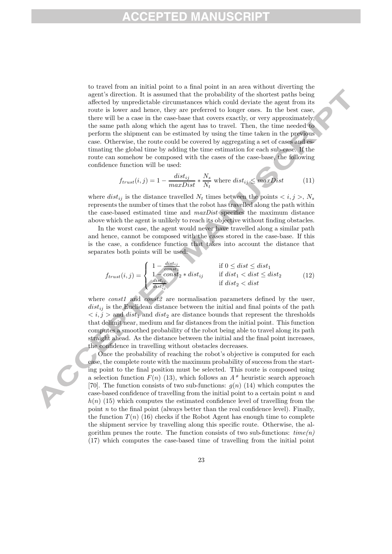to travel from an initial point to a final point in an area without diverting the agent's direction. It is assumed that the probability of the shortest paths being affected by unpredictable circumstances which could deviate the agent from its route is lower and hence, they are preferred to longer ones. In the best case, there will be a case in the case-base that covers exactly, or very approximately, the same path along which the agent has to travel. Then, the time needed to perform the shipment can be estimated by using the time taken in the previous case. Otherwise, the route could be covered by aggregating a set of cases and estimating the global time by adding the time estimation for each sub-case. If the route can somehow be composed with the cases of the case-base, the following confidence function will be used:

$$
f_{trust}(i,j) = 1 - \frac{dist_{ij}}{maxDist} * \frac{N_s}{N_t} \text{ where } dist_{ij} \le maxDist
$$
 (11)

where  $dist_{ij}$  is the distance travelled  $N_t$  times between the points  $\langle i, j \rangle, N_s$ represents the number of times that the robot has travelled along the path within the case-based estimated time and maxDist specifies the maximum distance above which the agent is unlikely to reach its objective without finding obstacles.

In the worst case, the agent would never have travelled along a similar path and hence, cannot be composed with the cases stored in the case-base. If this is the case, a confidence function that takes into account the distance that separates both points will be used:

$$
f_{trust}(i,j) = \begin{cases} 1 - \frac{dist_{ij}}{const_1} & \text{if } 0 \leq dist \leq dist_1 \\ 1 - const_2 * dist_{ij} & \text{if } dist_1 < dist \leq dist_2 \\ \frac{dist_{ij}}{dist_{ij}^2} & \text{if } dist_2 < dist \end{cases}
$$
(12)

where  $const1$  and  $const2$  are normalisation parameters defined by the user,  $dist_{ij}$  is the Euclidean distance between the initial and final points of the path  $\langle i, j \rangle$  and  $dist_1$  and  $dist_2$  are distance bounds that represent the thresholds that delimit near, medium and far distances from the initial point. This function computes a smoothed probability of the robot being able to travel along its path straight ahead. As the distance between the initial and the final point increases, the confidence in travelling without obstacles decreases.

Once the probability of reaching the robot's objective is computed for each case, the complete route with the maximum probability of success from the starting point to the final position must be selected. This route is composed using a selection function  $F(n)$  (13), which follows an  $A^*$  heuristic search approach [70]. The function consists of two sub-functions:  $q(n)$  (14) which computes the case-based confidence of travelling from the initial point to a certain point n and  $h(n)$  (15) which computes the estimated confidence level of travelling from the point  $n$  to the final point (always better than the real confidence level). Finally, the function  $T(n)$  (16) checks if the Robot Agent has enough time to complete the shipment service by travelling along this specific route. Otherwise, the algorithm prunes the route. The function consists of two sub-functions:  $time(n)$ (17) which computes the case-based time of travelling from the initial point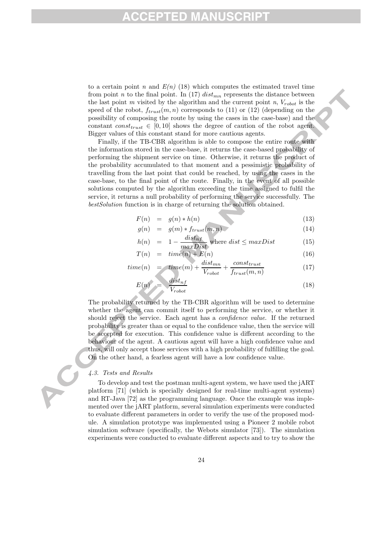### EPTED MANU

to a certain point n and  $E(n)$  (18) which computes the estimated travel time from point *n* to the final point. In (17)  $dist_{mn}$  represents the distance between the last point m visited by the algorithm and the current point n,  $V_{robot}$  is the speed of the robot,  $f_{trust}(m, n)$  corresponds to (11) or (12) (depending on the possibility of composing the route by using the cases in the case-base) and the constant  $const_{trust} \in [0, 10]$  shows the degree of caution of the robot agent. Bigger values of this constant stand for more cautious agents.

Finally, if the TB-CBR algorithm is able to compose the entire route with the information stored in the case-base, it returns the case-based probability of performing the shipment service on time. Otherwise, it returns the product of the probability accumulated to that moment and a pessimistic probability of travelling from the last point that could be reached, by using the cases in the case-base, to the final point of the route. Finally, in the event of all possible solutions computed by the algorithm exceeding the time assigned to fulfil the service, it returns a null probability of performing the service successfully. The bestSolution function is in charge of returning the solution obtained.

$$
F(n) = g(n) * h(n) \tag{13}
$$

$$
g(n) = g(m) * f_{trust}(m, n) \tag{14}
$$

$$
h(n) = 1 - \frac{dist_{nf}}{maxDist} \text{ where } dist \le maxDist
$$
 (15)

$$
T(n) = time(n) + E(n)
$$
\n(16)

$$
time(n) = time(m) + \frac{dist_{mn}}{V_{robot}} + \frac{const_{trust}}{f_{trust}(m, n)}
$$
\n(17)

$$
E(n) = \frac{dist_{nf}}{V_{robot}}
$$
 (18)

The probability returned by the TB-CBR algorithm will be used to determine whether the agent can commit itself to performing the service, or whether it should reject the service. Each agent has a confidence value. If the returned probability is greater than or equal to the confidence value, then the service will be accepted for execution. This confidence value is different according to the behaviour of the agent. A cautious agent will have a high confidence value and thus, will only accept those services with a high probability of fulfilling the goal. On the other hand, a fearless agent will have a low confidence value.

#### 4.3. Tests and Results

To develop and test the postman multi-agent system, we have used the jART platform [71] (which is specially designed for real-time multi-agent systems) and RT-Java [72] as the programming language. Once the example was implemented over the jART platform, several simulation experiments were conducted to evaluate different parameters in order to verify the use of the proposed module. A simulation prototype was implemented using a Pioneer 2 mobile robot simulation software (specifically, the Webots simulator [73]). The simulation experiments were conducted to evaluate different aspects and to try to show the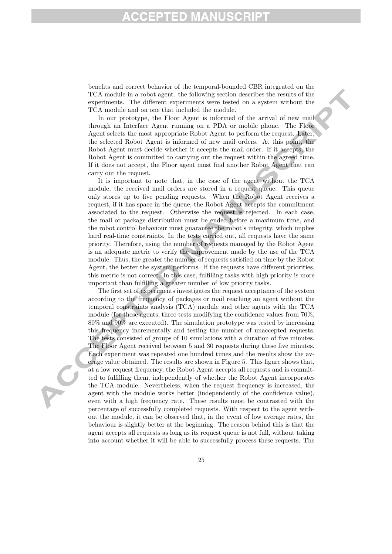benefits and correct behavior of the temporal-bounded CBR integrated on the TCA module in a robot agent. the following section describes the results of the experiments. The different experiments were tested on a system without the TCA module and on one that included the module.

In our prototype, the Floor Agent is informed of the arrival of new mail through an Interface Agent running on a PDA or mobile phone. The Floor Agent selects the most appropriate Robot Agent to perform the request. Later, the selected Robot Agent is informed of new mail orders. At this point, the Robot Agent must decide whether it accepts the mail order. If it accepts, the Robot Agent is committed to carrying out the request within the agreed time. If it does not accept, the Floor agent must find another Robot Agent that can carry out the request.

It is important to note that, in the case of the agent without the TCA module, the received mail orders are stored in a request queue. This queue only stores up to five pending requests. When the Robot Agent receives a request, if it has space in the queue, the Robot Agent accepts the commitment associated to the request. Otherwise the request is rejected. In each case, the mail or package distribution must be ended before a maximum time, and the robot control behaviour must guarantee the robot's integrity, which implies hard real-time constraints. In the tests carried out, all requests have the same priority. Therefore, using the number of requests managed by the Robot Agent is an adequate metric to verify the improvement made by the use of the TCA module. Thus, the greater the number of requests satisfied on time by the Robot Agent, the better the system performs. If the requests have different priorities, this metric is not correct. In this case, fulfilling tasks with high priority is more important than fulfilling a greater number of low priority tasks.

The first set of experiments investigates the request acceptance of the system according to the frequency of packages or mail reaching an agent without the temporal constraints analysis (TCA) module and other agents with the TCA module (for these agents, three tests modifying the confidence values from 70%, 80% and 90% are executed). The simulation prototype was tested by increasing this frequency incrementally and testing the number of unaccepted requests. The tests consisted of groups of 10 simulations with a duration of five minutes. The Floor Agent received between 5 and 30 requests during these five minutes. Each experiment was repeated one hundred times and the results show the average value obtained. The results are shown in Figure 5. This figure shows that, at a low request frequency, the Robot Agent accepts all requests and is committed to fulfilling them, independently of whether the Robot Agent incorporates the TCA module. Nevertheless, when the request frequency is increased, the agent with the module works better (independently of the confidence value), even with a high frequency rate. These results must be contrasted with the percentage of successfully completed requests. With respect to the agent without the module, it can be observed that, in the event of low average rates, the behaviour is slightly better at the beginning. The reason behind this is that the agent accepts all requests as long as its request queue is not full, without taking into account whether it will be able to successfully process these requests. The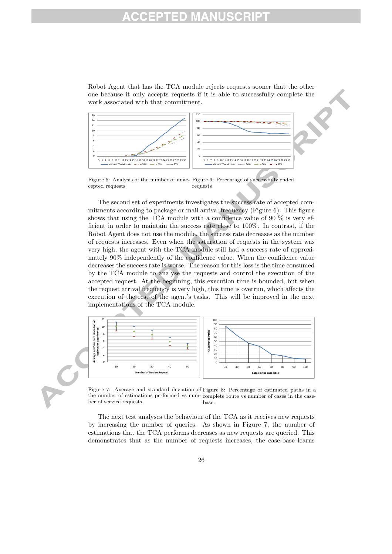Robot Agent that has the TCA module rejects requests sooner that the other one because it only accepts requests if it is able to successfully complete the work associated with that commitment.



Figure 5: Analysis of the number of unac-Figure 6: Percentage of successfully ended cepted requests requests

The second set of experiments investigates the success rate of accepted commitments according to package or mail arrival frequency (Figure 6). This figure shows that using the TCA module with a confidence value of 90 % is very efficient in order to maintain the success rate close to 100%. In contrast, if the Robot Agent does not use the module, the success rate decreases as the number of requests increases. Even when the saturation of requests in the system was very high, the agent with the TCA module still had a success rate of approximately 90% independently of the confidence value. When the confidence value decreases the success rate is worse. The reason for this loss is the time consumed by the TCA module to analyse the requests and control the execution of the accepted request. At the beginning, this execution time is bounded, but when the request arrival frequency is very high, this time is overrun, which affects the execution of the rest of the agent's tasks. This will be improved in the next implementations of the TCA module.



Figure 7: Average and standard deviation of Figure 8: Percentage of estimated paths in a the number of estimations performed vs num-complete route vs number of cases in the caseber of service requests. base.

The next test analyses the behaviour of the TCA as it receives new requests by increasing the number of queries. As shown in Figure 7, the number of estimations that the TCA performs decreases as new requests are queried. This demonstrates that as the number of requests increases, the case-base learns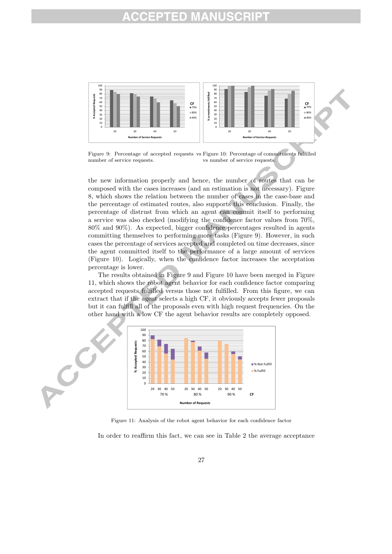

Figure 9: Percentage of accepted requests vs Figure 10: Percentage of commitments fulfilled number of service requests. vs number of service requests.

the new information properly and hence, the number of routes that can be composed with the cases increases (and an estimation is not necessary). Figure 8, which shows the relation between the number of cases in the case-base and the percentage of estimated routes, also supports this conclusion. Finally, the percentage of distrust from which an agent can commit itself to performing a service was also checked (modifying the confidence factor values from 70%, 80% and 90%). As expected, bigger confidence percentages resulted in agents committing themselves to performing more tasks (Figure 9). However, in such cases the percentage of services accepted and completed on time decreases, since the agent committed itself to the performance of a large amount of services (Figure 10). Logically, when the confidence factor increases the acceptation percentage is lower.

The results obtained in Figure 9 and Figure 10 have been merged in Figure 11, which shows the robot agent behavior for each confidence factor comparing accepted requests fulfilled versus those not fulfilled. From this figure, we can extract that if the agent selects a high CF, it obviously accepts fewer proposals but it can fulfill all of the proposals even with high request frequencies. On the other hand with a low CF the agent behavior results are completely opposed.



Figure 11: Analysis of the robot agent behavior for each confidence factor

In order to reaffirm this fact, we can see in Table 2 the average acceptance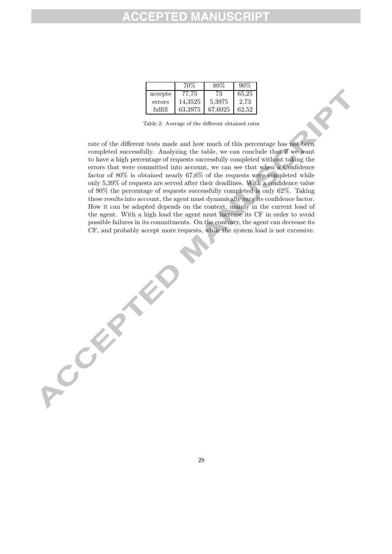|         | $70\%$  | $80\%$  | 90%   |
|---------|---------|---------|-------|
| accepts | 77.75   | 73      | 65,25 |
| errors  | 14.3525 | 5,3975  | 2.73  |
| fulfill | 63.3975 | 67.6025 | 62.52 |

Table 2: Average of the different obtained rates

rate of the different tests made and how much of this percentage has not been completed successfully. Analyzing the table, we can conclude that if we want to have a high percentage of requests successfully completed without taking the errors that were committed into account, we can see that when a Confidence factor of 80% is obtained nearly 67,6% of the requests were completed while only 5,39% of requests are served after their deadlines. With a confidence value of 90% the percentage of requests successfully completed is only 62%. Taking these results into account, the agent must dynamically vary its confidence factor. How it can be adapted depends on the context, mainly in the current load of the agent. With a high load the agent must increase its CF in order to avoid possible failures in its commitments. On the contrary, the agent can decrease its CF, and probably accept more requests, while the system load is not excessive.

ACCEPTER MAR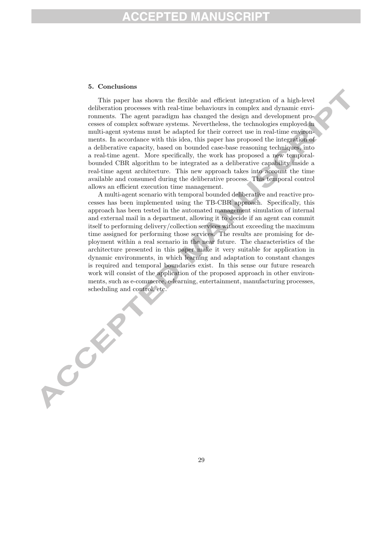#### 5. Conclusions

CON

This paper has shown the flexible and efficient integration of a high-level deliberation processes with real-time behaviours in complex and dynamic environments. The agent paradigm has changed the design and development processes of complex software systems. Nevertheless, the technologies employed in multi-agent systems must be adapted for their correct use in real-time environments. In accordance with this idea, this paper has proposed the integration of a deliberative capacity, based on bounded case-base reasoning techniques, into a real-time agent. More specifically, the work has proposed a new temporalbounded CBR algorithm to be integrated as a deliberative capability inside a real-time agent architecture. This new approach takes into account the time available and consumed during the deliberative process. This temporal control allows an efficient execution time management.

A multi-agent scenario with temporal bounded deliberative and reactive processes has been implemented using the TB-CBR approach. Specifically, this approach has been tested in the automated management simulation of internal and external mail in a department, allowing it to decide if an agent can commit itself to performing delivery/collection services without exceeding the maximum time assigned for performing those services. The results are promising for deployment within a real scenario in the near future. The characteristics of the architecture presented in this paper make it very suitable for application in dynamic environments, in which learning and adaptation to constant changes is required and temporal boundaries exist. In this sense our future research work will consist of the application of the proposed approach in other environments, such as e-commerce, e-learning, entertainment, manufacturing processes, scheduling and control, etc.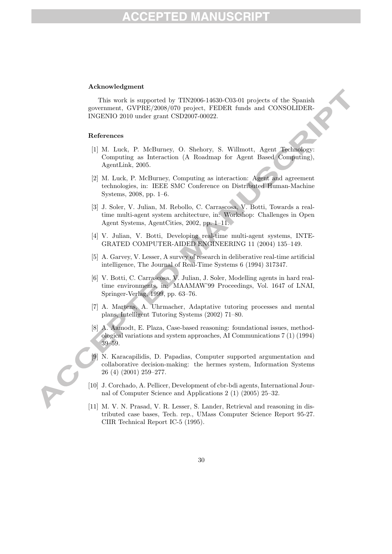# EPTED MANL

#### Acknowledgment

This work is supported by TIN2006-14630-C03-01 projects of the Spanish government, GVPRE/2008/070 project, FEDER funds and CONSOLIDER-INGENIO 2010 under grant CSD2007-00022.

#### References

- [1] M. Luck, P. McBurney, O. Shehory, S. Willmott, Agent Technology: Computing as Interaction (A Roadmap for Agent Based Computing), AgentLink, 2005.
- [2] M. Luck, P. McBurney, Computing as interaction: Agent and agreement technologies, in: IEEE SMC Conference on Distributed Human-Machine Systems, 2008, pp. 1–6.
- [3] J. Soler, V. Julian, M. Rebollo, C. Carrascosa, V. Botti, Towards a realtime multi-agent system architecture, in: Workshop: Challenges in Open Agent Systems, AgentCities, 2002, pp. 1–11.
- [4] V. Julian, V. Botti, Developing real-time multi-agent systems, INTE-GRATED COMPUTER-AIDED ENGINEERING 11 (2004) 135–149.
- [5] A. Garvey, V. Lesser, A survey of research in deliberative real-time artificial intelligence, The Journal of Real-Time Systems 6 (1994) 317347.
- [6] V. Botti, C. Carrascosa, V. Julian, J. Soler, Modelling agents in hard realtime environments, in: MAAMAW'99 Proceedings, Vol. 1647 of LNAI, Springer-Verlag, 1999, pp. 63–76.
- [7] A. Martens, A. Uhrmacher, Adaptative tutoring processes and mental plans, Intelligent Tutoring Systems (2002) 71–80.
- [8] A. Aamodt, E. Plaza, Case-based reasoning: foundational issues, methodological variations and system approaches, AI Communications 7 (1) (1994) 39–59.
- [9] N. Karacapilidis, D. Papadias, Computer supported argumentation and collaborative decision-making: the hermes system, Information Systems 26 (4) (2001) 259–277.
- [10] J. Corchado, A. Pellicer, Development of cbr-bdi agents, International Journal of Computer Science and Applications 2 (1) (2005) 25–32.
- [11] M. V. N. Prasad, V. R. Lesser, S. Lander, Retrieval and reasoning in distributed case bases, Tech. rep., UMass Computer Science Report 95-27. CIIR Technical Report IC-5 (1995).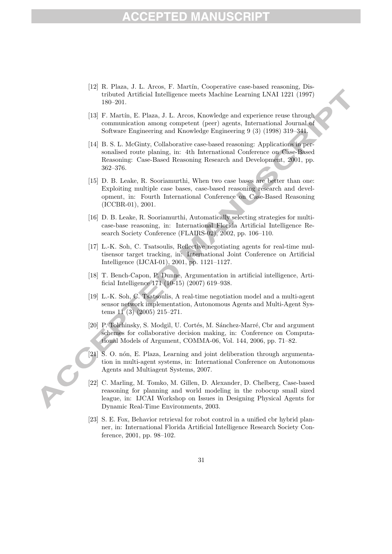## **CCEPTED MANUS**

- [12] R. Plaza, J. L. Arcos, F. Martín, Cooperative case-based reasoning, Distributed Artificial Intelligence meets Machine Learning LNAI 1221 (1997) 180–201.
- [13] F. Martín, E. Plaza, J. L. Arcos, Knowledge and experience reuse through communication among competent (peer) agents, International Journal of Software Engineering and Knowledge Engineering 9 (3) (1998) 319–341.
- [14] B. S. L. McGinty, Collaborative case-based reasoning: Applications in personalised route planing, in: 4th International Conference on Case-Based Reasoning: Case-Based Reasoning Research and Development, 2001, pp. 362–376.
- [15] D. B. Leake, R. Sooriamurthi, When two case bases are better than one: Exploiting multiple case bases, case-based reasoning research and development, in: Fourth International Conference on Case-Based Reasoning (ICCBR-01), 2001.
- [16] D. B. Leake, R. Sooriamurthi, Automatically selecting strategies for multicase-base reasoning, in: International Florida Artificial Intelligence Research Society Conference (FLAIRS-02), 2002, pp. 106–110.
- [17] L.-K. Soh, C. Tsatsoulis, Reflective negotiating agents for real-time multisensor target tracking, in: International Joint Conference on Artificial Intelligence (IJCAI-01), 2001, pp. 1121–1127.
- [18] T. Bench-Capon, P. Dunne, Argumentation in artificial intelligence, Artificial Intelligence 171 (10-15) (2007) 619–938.
- [19] L.-K. Soh, C. Tsatsoulis, A real-time negotiation model and a multi-agent sensor network implementation, Autonomous Agents and Multi-Agent Systems 11 (3) (2005) 215–271.
- [20] P. Tolchinsky, S. Modgil, U. Cortés, M. Sánchez-Marré, Cbr and argument schemes for collaborative decision making, in: Conference on Computational Models of Argument, COMMA-06, Vol. 144, 2006, pp. 71–82.
- [21] S. O. n´on, E. Plaza, Learning and joint deliberation through argumentation in multi-agent systems, in: International Conference on Autonomous Agents and Multiagent Systems, 2007.
- [22] C. Marling, M. Tomko, M. Gillen, D. Alexander, D. Chelberg, Case-based reasoning for planning and world modeling in the robocup small sized league, in: IJCAI Workshop on Issues in Designing Physical Agents for Dynamic Real-Time Environments, 2003.
- [23] S. E. Fox, Behavior retrieval for robot control in a unified cbr hybrid planner, in: International Florida Artificial Intelligence Research Society Conference, 2001, pp. 98–102.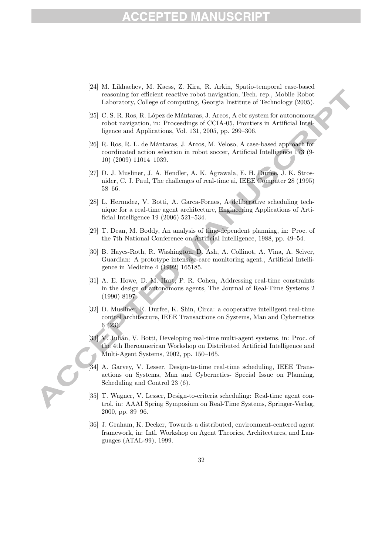### EPTED MANL

- [24] M. Likhachev, M. Kaess, Z. Kira, R. Arkin, Spatio-temporal case-based reasoning for efficient reactive robot navigation, Tech. rep., Mobile Robot Laboratory, College of computing, Georgia Institute of Technology (2005).
- [25] C. S. R. Ros, R. López de Mántaras, J. Arcos, A cbr system for autonomous robot navigation, in: Proceedings of CCIA-05, Frontiers in Artificial Intelligence and Applications, Vol. 131, 2005, pp. 299–306.
- [26] R. Ros, R. L. de M´antaras, J. Arcos, M. Veloso, A case-based approach for coordinated action selection in robot soccer, Artificial Intelligence 173 (9- 10) (2009) 11014–1039.
- [27] D. J. Musliner, J. A. Hendler, A. K. Agrawala, E. H. Durfee, J. K. Strosnider, C. J. Paul, The challenges of real-time ai, IEEE Computer 28 (1995) 58–66.
- [28] L. Hernndez, V. Botti, A. Garca-Fornes, A deliberative scheduling technique for a real-time agent architecture, Engineering Applications of Artificial Intelligence 19 (2006) 521–534.
- [29] T. Dean, M. Boddy, An analysis of time-dependent planning, in: Proc. of the 7th National Conference on Artificial Intelligence, 1988, pp. 49–54.
- [30] B. Hayes-Roth, R. Washington, D. Ash, A. Collinot, A. Vina, A. Seiver, Guardian: A prototype intensive-care monitoring agent., Artificial Intelligence in Medicine 4 (1992) 165185.
- [31] A. E. Howe, D. M. Hart, P. R. Cohen, Addressing real-time constraints in the design of autonomous agents, The Journal of Real-Time Systems 2 (1990) 8197.
- [32] D. Musliner, E. Durfee, K. Shin, Circa: a cooperative intelligent real-time control architecture, IEEE Transactions on Systems, Man and Cybernetics 6 (23).
- [33] V. Julián, V. Botti, Developing real-time multi-agent systems, in: Proc. of the 4th Iberoamerican Workshop on Distributed Artificial Intelligence and Multi-Agent Systems, 2002, pp. 150–165.
- [34] A. Garvey, V. Lesser, Design-to-time real-time scheduling, IEEE Transactions on Systems, Man and Cybernetics- Special Issue on Planning, Scheduling and Control 23 (6).
- [35] T. Wagner, V. Lesser, Design-to-criteria scheduling: Real-time agent control, in: AAAI Spring Symposium on Real-Time Systems, Springer-Verlag, 2000, pp. 89–96.
- [36] J. Graham, K. Decker, Towards a distributed, environment-centered agent framework, in: Intl. Workshop on Agent Theories, Architectures, and Languages (ATAL-99), 1999.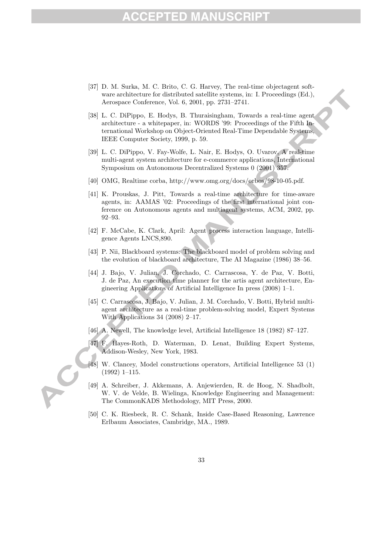### **CCEPTED MANUS**

- [37] D. M. Surka, M. C. Brito, C. G. Harvey, The real-time objectagent software architecture for distributed satellite systems, in: I. Proceedings (Ed.), Aerospace Conference, Vol. 6, 2001, pp. 2731–2741.
- [38] L. C. DiPippo, E. Hodys, B. Thuraisingham, Towards a real-time agent architecture - a whitepaper, in: WORDS '99: Proceedings of the Fifth International Workshop on Object-Oriented Real-Time Dependable Systems, IEEE Computer Society, 1999, p. 59.
- [39] L. C. DiPippo, V. Fay-Wolfe, L. Nair, E. Hodys, O. Uvarov, A real-time multi-agent system architecture for e-commerce applications, International Symposium on Autonomous Decentralized Systems 0 (2001) 357.
- [40] OMG, Realtime corba, http://www.omg.org/docs/orbos/98-10-05.pdf.
- [41] K. Prouskas, J. Pitt, Towards a real-time architecture for time-aware agents, in: AAMAS '02: Proceedings of the first international joint conference on Autonomous agents and multiagent systems, ACM, 2002, pp. 92–93.
- [42] F. McCabe, K. Clark, April: Agent process interaction language, Intelligence Agents LNCS,890.
- [43] P. Nii, Blackboard systems: The blackboard model of problem solving and the evolution of blackboard architecture, The AI Magazine (1986) 38–56.
- [44] J. Bajo, V. Julian, J. Corchado, C. Carrascosa, Y. de Paz, V. Botti, J. de Paz, An execution time planner for the artis agent architecture, Engineering Applications of Artificial Intelligence In press (2008) 1–1.
- [45] C. Carrascosa, J. Bajo, V. Julian, J. M. Corchado, V. Botti, Hybrid multiagent architecture as a real-time problem-solving model, Expert Systems With Applications 34 (2008) 2–17.
- [46] A. Newell, The knowledge level, Artificial Intelligence 18 (1982) 87–127.
- [47] F. Hayes-Roth, D. Waterman, D. Lenat, Building Expert Systems, Addison-Wesley, New York, 1983.
- [48] W. Clancey, Model constructions operators, Artificial Intelligence 53 (1) (1992) 1–115.
- [49] A. Schreiber, J. Akkemans, A. Anjewierden, R. de Hoog, N. Shadbolt, W. V. de Velde, B. Wielinga, Knowledge Engineering and Management: The CommonKADS Methodology, MIT Press, 2000.
- [50] C. K. Riesbeck, R. C. Schank, Inside Case-Based Reasoning, Lawrence Erlbaum Associates, Cambridge, MA., 1989.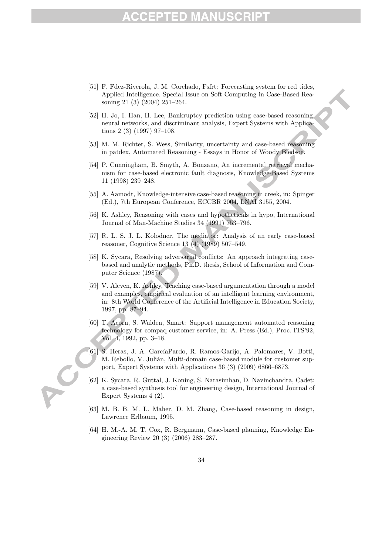# EPTED MANL

- [51] F. Fdez-Riverola, J. M. Corchado, Fsfrt: Forecasting system for red tides, Applied Intelligence. Special Issue on Soft Computing in Case-Based Reasoning 21 (3) (2004) 251–264.
- [52] H. Jo, I. Han, H. Lee, Bankruptcy prediction using case-based reasoning, neural networks, and discriminant analysis, Expert Systems with Applications 2 (3) (1997) 97–108.
- [53] M. M. Richter, S. Wess, Similarity, uncertainty and case-based reasoning in patdex, Automated Reasoning - Essays in Honor of Woody Bledsoe.
- [54] P. Cunningham, B. Smyth, A. Bonzano, An incremental retrieval mechanism for case-based electronic fault diagnosis, Knowledge-Based Systems 11 (1998) 239–248.
- [55] A. Aamodt, Knowledge-intensive case-based reasoning in creek, in: Spinger (Ed.), 7th European Conference, ECCBR 2004, LNAI 3155, 2004.
- [56] K. Ashley, Reasoning with cases and hypotheticals in hypo, International Journal of Man-Machine Studies 34 (1991) 753–796.
- [57] R. L. S. J. L. Kolodner, The mediator: Analysis of an early case-based reasoner, Cognitive Science 13 (4) (1989) 507–549.
- [58] K. Sycara, Resolving adversarial conflicts: An approach integrating casebased and analytic methods, Ph.D. thesis, School of Information and Computer Science (1987).
- [59] V. Aleven, K. Ashley, Teaching case-based argumentation through a model and examples, empirical evaluation of an intelligent learning environment, in: 8th World Conference of the Artificial Intelligence in Education Society, 1997, pp. 87–94.
- [60] T. Acorn, S. Walden, Smart: Support management automated reasoning technology for compaq customer service, in: A. Press (Ed.), Proc. ITS'92, Vol. 4, 1992, pp. 3–18.
- [61] S. Heras, J. A. GarcíaPardo, R. Ramos-Garijo, A. Palomares, V. Botti, M. Rebollo, V. Julián, Multi-domain case-based module for customer support, Expert Systems with Applications 36 (3) (2009) 6866–6873.
- [62] K. Sycara, R. Guttal, J. Koning, S. Narasimhan, D. Navinchandra, Cadet: a case-based synthesis tool for engineering design, International Journal of Expert Systems 4 (2).
- [63] M. B. B. M. L. Maher, D. M. Zhang, Case-based reasoning in design, Lawrence Erlbaum, 1995.
- [64] H. M.-A. M. T. Cox, R. Bergmann, Case-based planning, Knowledge Engineering Review 20 (3) (2006) 283–287.